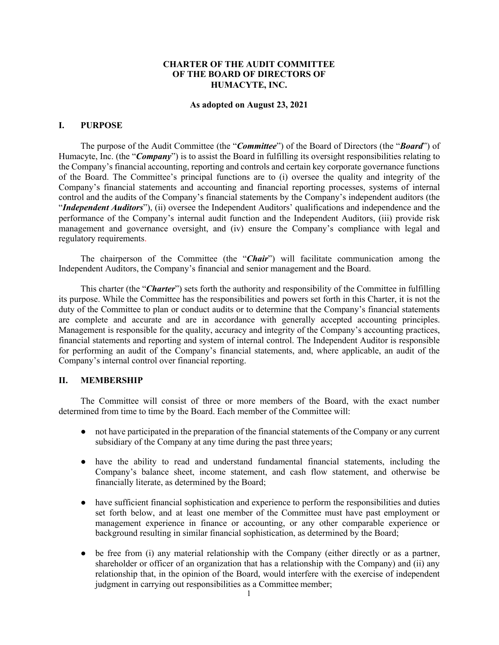## **CHARTER OF THE AUDIT COMMITTEE OF THE BOARD OF DIRECTORS OF HUMACYTE, INC.**

#### **As adopted on August 23, 2021**

## **I. PURPOSE**

The purpose of the Audit Committee (the "*Committee*") of the Board of Directors (the "*Board*") of Humacyte, Inc. (the "*Company*") is to assist the Board in fulfilling its oversight responsibilities relating to the Company's financial accounting, reporting and controls and certain key corporate governance functions of the Board. The Committee's principal functions are to (i) oversee the quality and integrity of the Company's financial statements and accounting and financial reporting processes, systems of internal control and the audits of the Company's financial statements by the Company's independent auditors (the "*Independent Auditors*"), (ii) oversee the Independent Auditors' qualifications and independence and the performance of the Company's internal audit function and the Independent Auditors, (iii) provide risk management and governance oversight, and (iv) ensure the Company's compliance with legal and regulatory requirements.

The chairperson of the Committee (the "*Chair*") will facilitate communication among the Independent Auditors, the Company's financial and senior management and the Board.

This charter (the "*Charter*") sets forth the authority and responsibility of the Committee in fulfilling its purpose. While the Committee has the responsibilities and powers set forth in this Charter, it is not the duty of the Committee to plan or conduct audits or to determine that the Company's financial statements are complete and accurate and are in accordance with generally accepted accounting principles. Management is responsible for the quality, accuracy and integrity of the Company's accounting practices, financial statements and reporting and system of internal control. The Independent Auditor is responsible for performing an audit of the Company's financial statements, and, where applicable, an audit of the Company's internal control over financial reporting.

## **II. MEMBERSHIP**

The Committee will consist of three or more members of the Board, with the exact number determined from time to time by the Board. Each member of the Committee will:

- not have participated in the preparation of the financial statements of the Company or any current subsidiary of the Company at any time during the past three years;
- have the ability to read and understand fundamental financial statements, including the Company's balance sheet, income statement, and cash flow statement, and otherwise be financially literate, as determined by the Board;
- have sufficient financial sophistication and experience to perform the responsibilities and duties set forth below, and at least one member of the Committee must have past employment or management experience in finance or accounting, or any other comparable experience or background resulting in similar financial sophistication, as determined by the Board;
- be free from (i) any material relationship with the Company (either directly or as a partner, shareholder or officer of an organization that has a relationship with the Company) and (ii) any relationship that, in the opinion of the Board, would interfere with the exercise of independent judgment in carrying out responsibilities as a Committee member;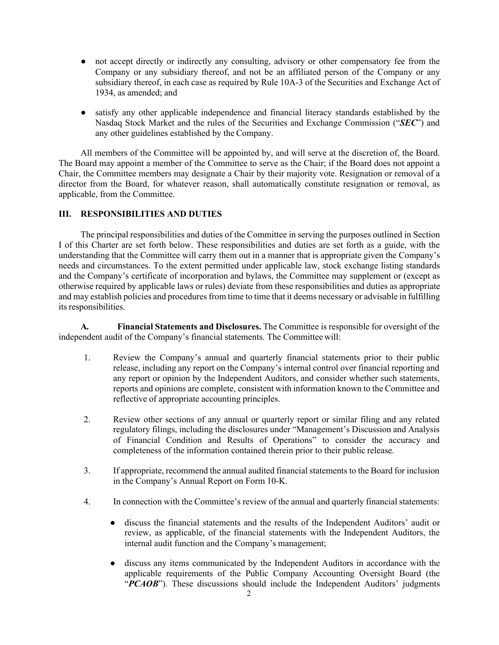- not accept directly or indirectly any consulting, advisory or other compensatory fee from the Company or any subsidiary thereof, and not be an affiliated person of the Company or any subsidiary thereof, in each case as required by Rule 10A-3 of the Securities and Exchange Act of 1934, as amended; and
- satisfy any other applicable independence and financial literacy standards established by the Nasdaq Stock Market and the rules of the Securities and Exchange Commission ("*SEC*") and any other guidelines established by the Company.

All members of the Committee will be appointed by, and will serve at the discretion of, the Board. The Board may appoint a member of the Committee to serve as the Chair; if the Board does not appoint a Chair, the Committee members may designate a Chair by their majority vote. Resignation or removal of a director from the Board, for whatever reason, shall automatically constitute resignation or removal, as applicable, from the Committee.

## **III. RESPONSIBILITIES AND DUTIES**

The principal responsibilities and duties of the Committee in serving the purposes outlined in Section I of this Charter are set forth below. These responsibilities and duties are set forth as a guide, with the understanding that the Committee will carry them out in a manner that is appropriate given the Company's needs and circumstances. To the extent permitted under applicable law, stock exchange listing standards and the Company's certificate of incorporation and bylaws, the Committee may supplement or (except as otherwise required by applicable laws or rules) deviate from these responsibilities and duties as appropriate and may establish policies and procedures from time to time that it deems necessary or advisable in fulfilling its responsibilities.

**A. Financial Statements and Disclosures.** The Committee is responsible for oversight of the independent audit of the Company's financial statements. The Committee will:

- 1. Review the Company's annual and quarterly financial statements prior to their public release, including any report on the Company's internal control over financial reporting and any report or opinion by the Independent Auditors, and consider whether such statements, reports and opinions are complete, consistent with information known to the Committee and reflective of appropriate accounting principles.
- 2. Review other sections of any annual or quarterly report or similar filing and any related regulatory filings, including the disclosures under "Management's Discussion and Analysis of Financial Condition and Results of Operations" to consider the accuracy and completeness of the information contained therein prior to their public release.
- 3. If appropriate, recommend the annual audited financial statements to the Board for inclusion in the Company's Annual Report on Form 10-K.
- 4. In connection with the Committee's review of the annual and quarterly financial statements:
	- discuss the financial statements and the results of the Independent Auditors' audit or review, as applicable, of the financial statements with the Independent Auditors, the internal audit function and the Company's management;
	- discuss any items communicated by the Independent Auditors in accordance with the applicable requirements of the Public Company Accounting Oversight Board (the "PCAOB"). These discussions should include the Independent Auditors' judgments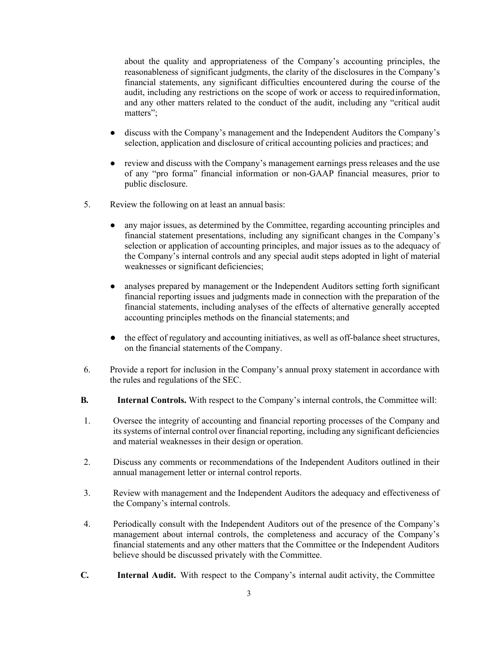about the quality and appropriateness of the Company's accounting principles, the reasonableness of significant judgments, the clarity of the disclosures in the Company's financial statements, any significant difficulties encountered during the course of the audit, including any restrictions on the scope of work or access to requiredinformation, and any other matters related to the conduct of the audit, including any "critical audit matters";

- discuss with the Company's management and the Independent Auditors the Company's selection, application and disclosure of critical accounting policies and practices; and
- review and discuss with the Company's management earnings press releases and the use of any "pro forma" financial information or non-GAAP financial measures, prior to public disclosure.
- 5. Review the following on at least an annual basis:
	- any major issues, as determined by the Committee, regarding accounting principles and financial statement presentations, including any significant changes in the Company's selection or application of accounting principles, and major issues as to the adequacy of the Company's internal controls and any special audit steps adopted in light of material weaknesses or significant deficiencies;
	- analyses prepared by management or the Independent Auditors setting forth significant financial reporting issues and judgments made in connection with the preparation of the financial statements, including analyses of the effects of alternative generally accepted accounting principles methods on the financial statements; and
	- the effect of regulatory and accounting initiatives, as well as off-balance sheet structures, on the financial statements of the Company.
- 6. Provide a report for inclusion in the Company's annual proxy statement in accordance with the rules and regulations of the SEC.
- **B. Internal Controls.** With respect to the Company's internal controls, the Committee will:
- 1. Oversee the integrity of accounting and financial reporting processes of the Company and its systems of internal control over financial reporting, including any significant deficiencies and material weaknesses in their design or operation.
- 2. Discuss any comments or recommendations of the Independent Auditors outlined in their annual management letter or internal control reports.
- 3. Review with management and the Independent Auditors the adequacy and effectiveness of the Company's internal controls.
- 4. Periodically consult with the Independent Auditors out of the presence of the Company's management about internal controls, the completeness and accuracy of the Company's financial statements and any other matters that the Committee or the Independent Auditors believe should be discussed privately with the Committee.
- **C. Internal Audit.** With respect to the Company's internal audit activity, the Committee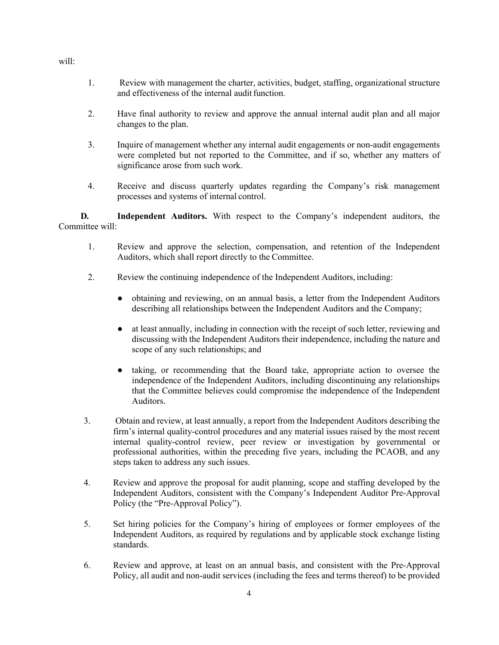1. Review with management the charter, activities, budget, staffing, organizational structure and effectiveness of the internal audit function.

- 2. Have final authority to review and approve the annual internal audit plan and all major changes to the plan.
- 3. Inquire of management whether any internal audit engagements or non-audit engagements were completed but not reported to the Committee, and if so, whether any matters of significance arose from such work.
- 4. Receive and discuss quarterly updates regarding the Company's risk management processes and systems of internal control.

**D. Independent Auditors.** With respect to the Company's independent auditors, the Committee will:

- 1. Review and approve the selection, compensation, and retention of the Independent Auditors, which shall report directly to the Committee.
- 2. Review the continuing independence of the Independent Auditors, including:
	- obtaining and reviewing, on an annual basis, a letter from the Independent Auditors describing all relationships between the Independent Auditors and the Company;
	- at least annually, including in connection with the receipt of such letter, reviewing and discussing with the Independent Auditors their independence, including the nature and scope of any such relationships; and
	- taking, or recommending that the Board take, appropriate action to oversee the independence of the Independent Auditors, including discontinuing any relationships that the Committee believes could compromise the independence of the Independent Auditors.
- 3. Obtain and review, at least annually, a report from the Independent Auditors describing the firm's internal quality-control procedures and any material issues raised by the most recent internal quality-control review, peer review or investigation by governmental or professional authorities, within the preceding five years, including the PCAOB, and any steps taken to address any such issues.
- 4. Review and approve the proposal for audit planning, scope and staffing developed by the Independent Auditors, consistent with the Company's Independent Auditor Pre-Approval Policy (the "Pre-Approval Policy").
- 5. Set hiring policies for the Company's hiring of employees or former employees of the Independent Auditors, as required by regulations and by applicable stock exchange listing standards.
- 6. Review and approve, at least on an annual basis, and consistent with the Pre-Approval Policy, all audit and non-audit services (including the fees and terms thereof) to be provided

will: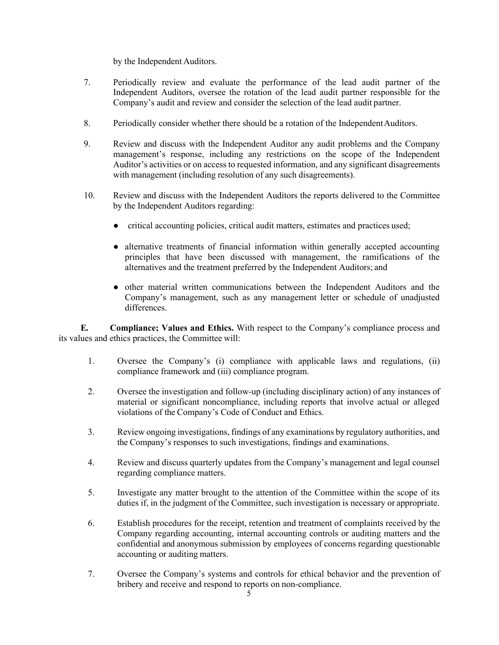by the Independent Auditors.

- 7. Periodically review and evaluate the performance of the lead audit partner of the Independent Auditors, oversee the rotation of the lead audit partner responsible for the Company's audit and review and consider the selection of the lead audit partner.
- 8. Periodically consider whether there should be a rotation of the Independent Auditors.
- 9. Review and discuss with the Independent Auditor any audit problems and the Company management's response, including any restrictions on the scope of the Independent Auditor's activities or on access to requested information, and any significant disagreements with management (including resolution of any such disagreements).
- 10. Review and discuss with the Independent Auditors the reports delivered to the Committee by the Independent Auditors regarding:
	- critical accounting policies, critical audit matters, estimates and practices used;
	- alternative treatments of financial information within generally accepted accounting principles that have been discussed with management, the ramifications of the alternatives and the treatment preferred by the Independent Auditors; and
	- other material written communications between the Independent Auditors and the Company's management, such as any management letter or schedule of unadjusted differences.

**E. Compliance; Values and Ethics.** With respect to the Company's compliance process and its values and ethics practices, the Committee will:

- 1. Oversee the Company's (i) compliance with applicable laws and regulations, (ii) compliance framework and (iii) compliance program.
- 2. Oversee the investigation and follow-up (including disciplinary action) of any instances of material or significant noncompliance, including reports that involve actual or alleged violations of the Company's Code of Conduct and Ethics.
- 3. Review ongoing investigations, findings of any examinations by regulatory authorities, and the Company's responses to such investigations, findings and examinations.
- 4. Review and discuss quarterly updates from the Company's management and legal counsel regarding compliance matters.
- 5. Investigate any matter brought to the attention of the Committee within the scope of its duties if, in the judgment of the Committee, such investigation is necessary or appropriate.
- 6. Establish procedures for the receipt, retention and treatment of complaints received by the Company regarding accounting, internal accounting controls or auditing matters and the confidential and anonymous submission by employees of concerns regarding questionable accounting or auditing matters.
- 7. Oversee the Company's systems and controls for ethical behavior and the prevention of bribery and receive and respond to reports on non-compliance.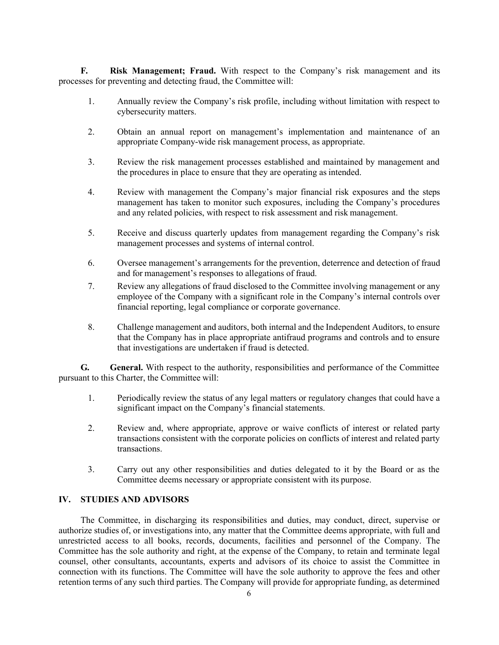**F. Risk Management; Fraud.** With respect to the Company's risk management and its processes for preventing and detecting fraud, the Committee will:

- 1. Annually review the Company's risk profile, including without limitation with respect to cybersecurity matters.
- 2. Obtain an annual report on management's implementation and maintenance of an appropriate Company-wide risk management process, as appropriate.
- 3. Review the risk management processes established and maintained by management and the procedures in place to ensure that they are operating as intended.
- 4. Review with management the Company's major financial risk exposures and the steps management has taken to monitor such exposures, including the Company's procedures and any related policies, with respect to risk assessment and risk management.
- 5. Receive and discuss quarterly updates from management regarding the Company's risk management processes and systems of internal control.
- 6. Oversee management's arrangements for the prevention, deterrence and detection of fraud and for management's responses to allegations of fraud.
- 7. Review any allegations of fraud disclosed to the Committee involving management or any employee of the Company with a significant role in the Company's internal controls over financial reporting, legal compliance or corporate governance.
- 8. Challenge management and auditors, both internal and the Independent Auditors, to ensure that the Company has in place appropriate antifraud programs and controls and to ensure that investigations are undertaken if fraud is detected.

**G. General.** With respect to the authority, responsibilities and performance of the Committee pursuant to this Charter, the Committee will:

- 1. Periodically review the status of any legal matters or regulatory changes that could have a significant impact on the Company's financial statements.
- 2. Review and, where appropriate, approve or waive conflicts of interest or related party transactions consistent with the corporate policies on conflicts of interest and related party transactions.
- 3. Carry out any other responsibilities and duties delegated to it by the Board or as the Committee deems necessary or appropriate consistent with its purpose.

## **IV. STUDIES AND ADVISORS**

The Committee, in discharging its responsibilities and duties, may conduct, direct, supervise or authorize studies of, or investigations into, any matter that the Committee deems appropriate, with full and unrestricted access to all books, records, documents, facilities and personnel of the Company. The Committee has the sole authority and right, at the expense of the Company, to retain and terminate legal counsel, other consultants, accountants, experts and advisors of its choice to assist the Committee in connection with its functions. The Committee will have the sole authority to approve the fees and other retention terms of any such third parties. The Company will provide for appropriate funding, as determined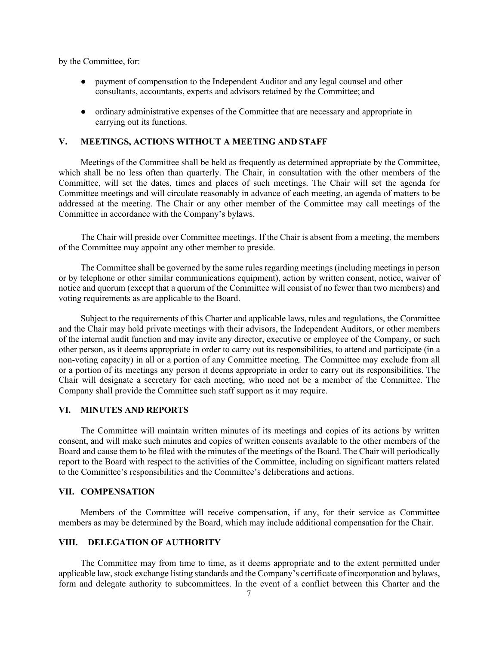by the Committee, for:

- payment of compensation to the Independent Auditor and any legal counsel and other consultants, accountants, experts and advisors retained by the Committee; and
- ordinary administrative expenses of the Committee that are necessary and appropriate in carrying out its functions.

### **V. MEETINGS, ACTIONS WITHOUT A MEETING AND STAFF**

Meetings of the Committee shall be held as frequently as determined appropriate by the Committee, which shall be no less often than quarterly. The Chair, in consultation with the other members of the Committee, will set the dates, times and places of such meetings. The Chair will set the agenda for Committee meetings and will circulate reasonably in advance of each meeting, an agenda of matters to be addressed at the meeting. The Chair or any other member of the Committee may call meetings of the Committee in accordance with the Company's bylaws.

The Chair will preside over Committee meetings. If the Chair is absent from a meeting, the members of the Committee may appoint any other member to preside.

The Committee shall be governed by the same rules regarding meetings (including meetings in person or by telephone or other similar communications equipment), action by written consent, notice, waiver of notice and quorum (except that a quorum of the Committee will consist of no fewer than two members) and voting requirements as are applicable to the Board.

Subject to the requirements of this Charter and applicable laws, rules and regulations, the Committee and the Chair may hold private meetings with their advisors, the Independent Auditors, or other members of the internal audit function and may invite any director, executive or employee of the Company, or such other person, as it deems appropriate in order to carry out its responsibilities, to attend and participate (in a non-voting capacity) in all or a portion of any Committee meeting. The Committee may exclude from all or a portion of its meetings any person it deems appropriate in order to carry out its responsibilities. The Chair will designate a secretary for each meeting, who need not be a member of the Committee. The Company shall provide the Committee such staff support as it may require.

## **VI. MINUTES AND REPORTS**

The Committee will maintain written minutes of its meetings and copies of its actions by written consent, and will make such minutes and copies of written consents available to the other members of the Board and cause them to be filed with the minutes of the meetings of the Board. The Chair will periodically report to the Board with respect to the activities of the Committee, including on significant matters related to the Committee's responsibilities and the Committee's deliberations and actions.

### **VII. COMPENSATION**

Members of the Committee will receive compensation, if any, for their service as Committee members as may be determined by the Board, which may include additional compensation for the Chair.

## **VIII. DELEGATION OF AUTHORITY**

The Committee may from time to time, as it deems appropriate and to the extent permitted under applicable law, stock exchange listing standards and the Company's certificate of incorporation and bylaws, form and delegate authority to subcommittees. In the event of a conflict between this Charter and the